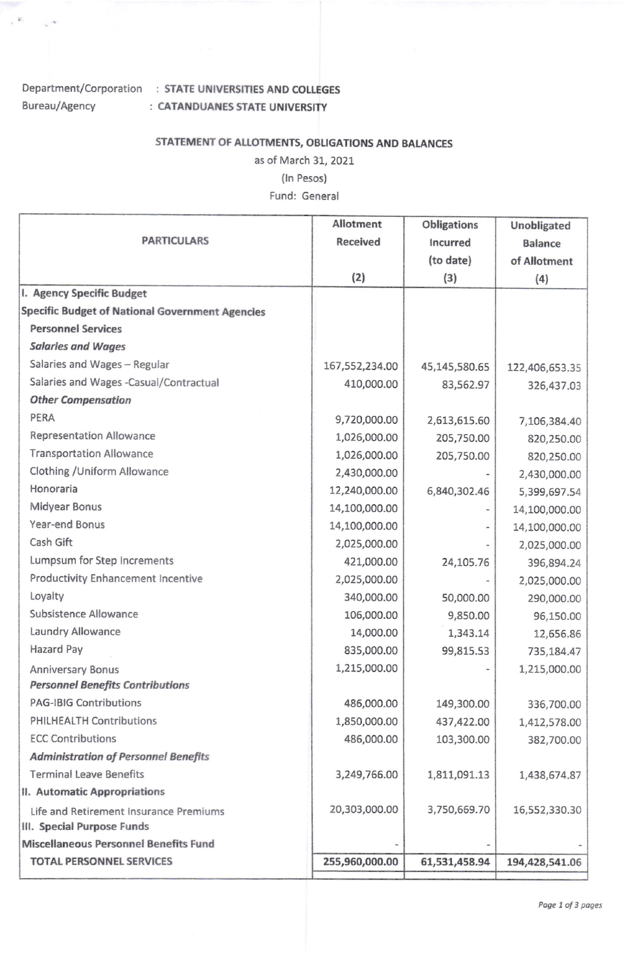## Bureau/Agency

 $\label{eq:1.1} \sqrt{K_{\rm{eff}}}=1-\sqrt{2K}$ 

## Department/Corporation : STATE UNIVERSITIES AND COLLEGES : CATANDUANES STATE UNIVERSITY

## STATEMENT OF ALLOTMENTS, OBLIGATIONS AND BALANCES

as of March 31, 2021

(In Pesos)

Fund: General

|                                                                      | <b>Allotment</b> | <b>Obligations</b> | Unobligated    |
|----------------------------------------------------------------------|------------------|--------------------|----------------|
| <b>PARTICULARS</b>                                                   | <b>Received</b>  | Incurred           | <b>Balance</b> |
|                                                                      |                  | (to date)          | of Allotment   |
|                                                                      | (2)              | (3)                | (4)            |
| I. Agency Specific Budget                                            |                  |                    |                |
| <b>Specific Budget of National Government Agencies</b>               |                  |                    |                |
| <b>Personnel Services</b>                                            |                  |                    |                |
| <b>Salaries and Wages</b>                                            |                  |                    |                |
| Salaries and Wages - Regular                                         | 167,552,234.00   | 45,145,580.65      | 122,406,653.35 |
| Salaries and Wages -Casual/Contractual                               | 410,000.00       | 83,562.97          | 326,437.03     |
| <b>Other Compensation</b>                                            |                  |                    |                |
| PERA                                                                 | 9,720,000.00     | 2,613,615.60       | 7,106,384.40   |
| <b>Representation Allowance</b>                                      | 1,026,000.00     | 205,750.00         | 820,250.00     |
| <b>Transportation Allowance</b>                                      | 1,026,000.00     | 205,750.00         | 820,250.00     |
| Clothing / Uniform Allowance                                         | 2,430,000.00     |                    | 2,430,000.00   |
| Honoraria                                                            | 12,240,000.00    | 6,840,302.46       | 5,399,697.54   |
| Midyear Bonus                                                        | 14,100,000.00    |                    | 14,100,000.00  |
| Year-end Bonus                                                       | 14,100,000.00    |                    | 14,100,000.00  |
| Cash Gift                                                            | 2,025,000.00     |                    | 2,025,000.00   |
| Lumpsum for Step Increments                                          | 421,000.00       | 24,105.76          | 396,894.24     |
| Productivity Enhancement Incentive                                   | 2,025,000.00     |                    | 2,025,000.00   |
| Loyalty                                                              | 340,000.00       | 50,000.00          | 290,000.00     |
| Subsistence Allowance                                                | 106,000.00       | 9,850.00           | 96,150.00      |
| Laundry Allowance                                                    | 14,000.00        | 1,343.14           | 12,656.86      |
| Hazard Pay                                                           | 835,000.00       | 99,815.53          | 735,184.47     |
| <b>Anniversary Bonus</b>                                             | 1,215,000.00     |                    | 1,215,000.00   |
| <b>Personnel Benefits Contributions</b>                              |                  |                    |                |
| <b>PAG-IBIG Contributions</b>                                        | 486,000.00       | 149,300.00         | 336,700.00     |
| PHILHEALTH Contributions                                             | 1,850,000.00     | 437,422.00         | 1,412,578.00   |
| <b>ECC Contributions</b>                                             | 486,000.00       | 103,300.00         | 382,700.00     |
| <b>Administration of Personnel Benefits</b>                          |                  |                    |                |
| <b>Terminal Leave Benefits</b>                                       | 3,249,766.00     | 1,811,091.13       | 1,438,674.87   |
| II. Automatic Appropriations                                         |                  |                    |                |
| Life and Retirement Insurance Premiums<br>III. Special Purpose Funds | 20,303,000.00    | 3,750,669.70       | 16,552,330.30  |
| Miscellaneous Personnel Benefits Fund                                |                  |                    |                |
| <b>TOTAL PERSONNEL SERVICES</b>                                      | 255,960,000.00   | 61,531,458.94      | 194,428,541.06 |
|                                                                      |                  |                    |                |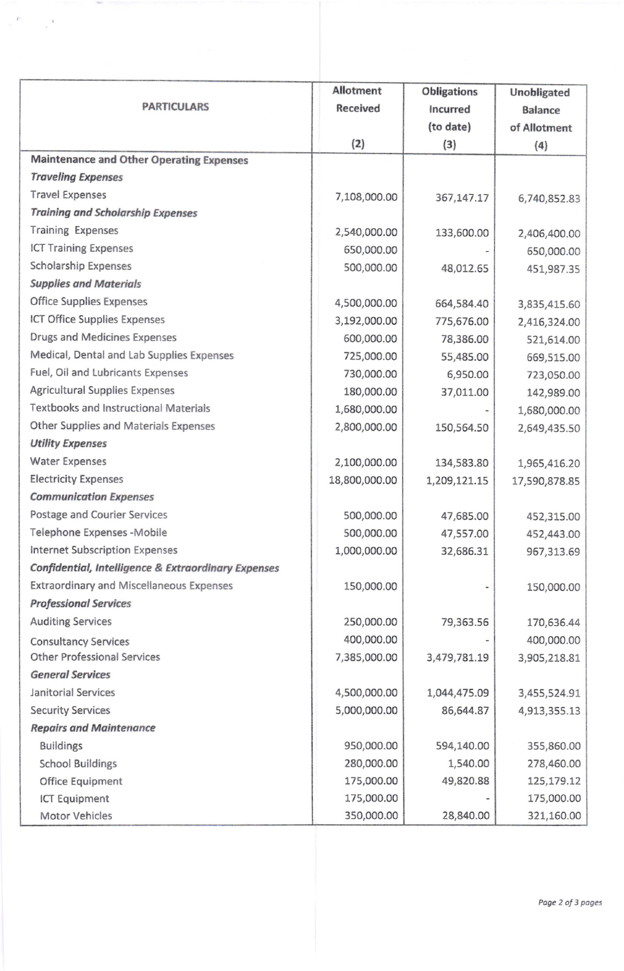| <b>PARTICULARS</b>                                             | <b>Allotment</b><br>Received | <b>Obligations</b><br>Incurred<br>(to date) | Unobligated<br><b>Balance</b><br>of Allotment |
|----------------------------------------------------------------|------------------------------|---------------------------------------------|-----------------------------------------------|
|                                                                | (2)                          | (3)                                         | (4)                                           |
| <b>Maintenance and Other Operating Expenses</b>                |                              |                                             |                                               |
| <b>Traveling Expenses</b>                                      |                              |                                             |                                               |
| <b>Travel Expenses</b>                                         | 7,108,000.00                 | 367,147.17                                  | 6,740,852.83                                  |
| <b>Training and Scholarship Expenses</b>                       |                              |                                             |                                               |
| <b>Training Expenses</b>                                       | 2,540,000.00                 | 133,600.00                                  | 2,406,400.00                                  |
| <b>ICT Training Expenses</b>                                   | 650,000.00                   |                                             | 650,000.00                                    |
| <b>Scholarship Expenses</b>                                    | 500,000.00                   | 48,012.65                                   | 451,987.35                                    |
| <b>Supplies and Materials</b>                                  |                              |                                             |                                               |
| <b>Office Supplies Expenses</b>                                | 4,500,000.00                 | 664,584.40                                  | 3,835,415.60                                  |
| <b>ICT Office Supplies Expenses</b>                            | 3,192,000.00                 | 775,676.00                                  | 2,416,324.00                                  |
| Drugs and Medicines Expenses                                   | 600,000.00                   | 78,386.00                                   | 521,614.00                                    |
| Medical, Dental and Lab Supplies Expenses                      | 725,000.00                   | 55,485.00                                   | 669,515.00                                    |
| Fuel, Oil and Lubricants Expenses                              | 730,000.00                   | 6,950.00                                    | 723,050.00                                    |
| <b>Agricultural Supplies Expenses</b>                          | 180,000.00                   | 37,011.00                                   | 142,989.00                                    |
| <b>Textbooks and Instructional Materials</b>                   | 1,680,000.00                 |                                             | 1,680,000.00                                  |
| Other Supplies and Materials Expenses                          | 2,800,000.00                 | 150,564.50                                  | 2,649,435.50                                  |
| <b>Utility Expenses</b>                                        |                              |                                             |                                               |
| <b>Water Expenses</b>                                          | 2,100,000.00                 | 134,583.80                                  | 1,965,416.20                                  |
| <b>Electricity Expenses</b>                                    | 18,800,000.00                | 1,209,121.15                                | 17,590,878.85                                 |
| <b>Communication Expenses</b>                                  |                              |                                             |                                               |
| Postage and Courier Services                                   | 500,000.00                   | 47,685.00                                   | 452,315.00                                    |
| Telephone Expenses -Mobile                                     | 500,000.00                   | 47,557.00                                   | 452,443.00                                    |
| Internet Subscription Expenses                                 | 1,000,000.00                 | 32,686.31                                   | 967,313.69                                    |
| <b>Confidential, Intelligence &amp; Extraordinary Expenses</b> |                              |                                             |                                               |
| <b>Extraordinary and Miscellaneous Expenses</b>                | 150,000.00                   |                                             | 150,000.00                                    |
| <b>Professional Services</b>                                   |                              |                                             |                                               |
| <b>Auditing Services</b>                                       | 250,000.00                   | 79,363.56                                   | 170,636.44                                    |
| <b>Consultancy Services</b>                                    | 400,000.00                   |                                             | 400,000.00                                    |
| <b>Other Professional Services</b>                             | 7,385,000.00                 | 3,479,781.19                                | 3,905,218.81                                  |
| <b>General Services</b>                                        |                              |                                             |                                               |
| Janitorial Services                                            | 4,500,000.00                 | 1,044,475.09                                | 3,455,524.91                                  |
| <b>Security Services</b>                                       | 5,000,000.00                 | 86,644.87                                   | 4,913,355.13                                  |
| <b>Repairs and Maintenance</b>                                 |                              |                                             |                                               |
| <b>Buildings</b>                                               | 950,000.00                   | 594,140.00                                  | 355,860.00                                    |
| <b>School Buildings</b>                                        | 280,000.00                   | 1,540.00                                    | 278,460.00                                    |
| Office Equipment                                               | 175,000.00                   | 49,820.88                                   | 125,179.12                                    |
| ICT Equipment                                                  | 175,000.00                   |                                             | 175,000.00                                    |
| Motor Vehicles                                                 | 350,000.00                   | 28,840.00                                   | 321,160.00                                    |

 $\sim$ 

 $\label{eq:2.1} \begin{array}{ccccc} \mathcal{O} & & & \mathcal{V} & \mathcal{V} \end{array}$